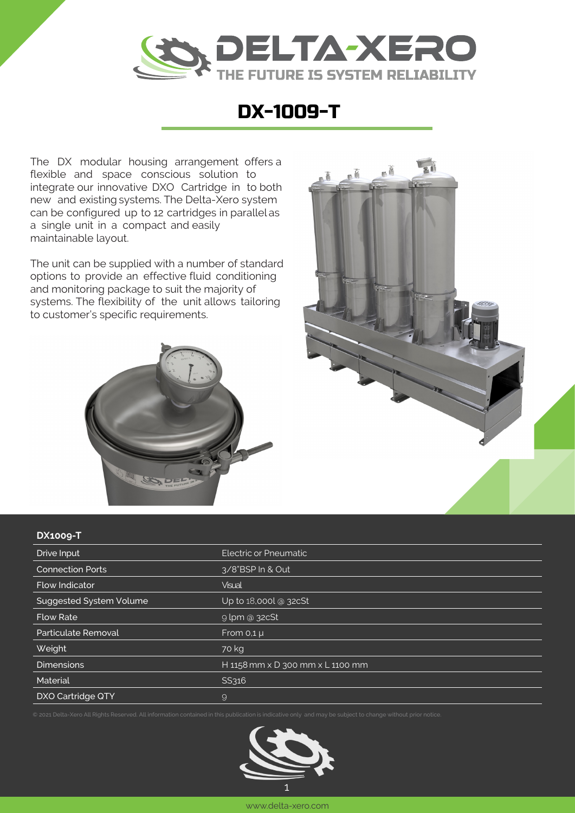

## DX-1009-T

The DX modular housing arrangement offers a flexible and space conscious solution to integrate our innovative DXO Cartridge in to both new and existing systems. The Delta-Xero system can be configured up to 12 cartridges in parallel as a single unit in a compact and easily maintainable layout.

The unit can be supplied with a number of standard options to provide an effective fluid conditioning and monitoring package to suit the majority of systems. The flexibility of the unit allows tailoring to customer's specific requirements.





## **DX1009-T**

| Drive Input             | Electric or Pneumatic            |
|-------------------------|----------------------------------|
| <b>Connection Ports</b> | 3/8"BSP In & Out                 |
| <b>Flow Indicator</b>   | <b>Visual</b>                    |
| Suggested System Volume | Up to 18,000l @ 32cSt            |
| <b>Flow Rate</b>        | $9$ lpm @ 32cSt                  |
| Particulate Removal     | From $0,1 \mu$                   |
| Weight                  | 70 kg                            |
| <b>Dimensions</b>       | H 1158 mm x D 300 mm x L 1100 mm |
| Material                | SS316                            |
| DXO Cartridge QTY       | 9                                |